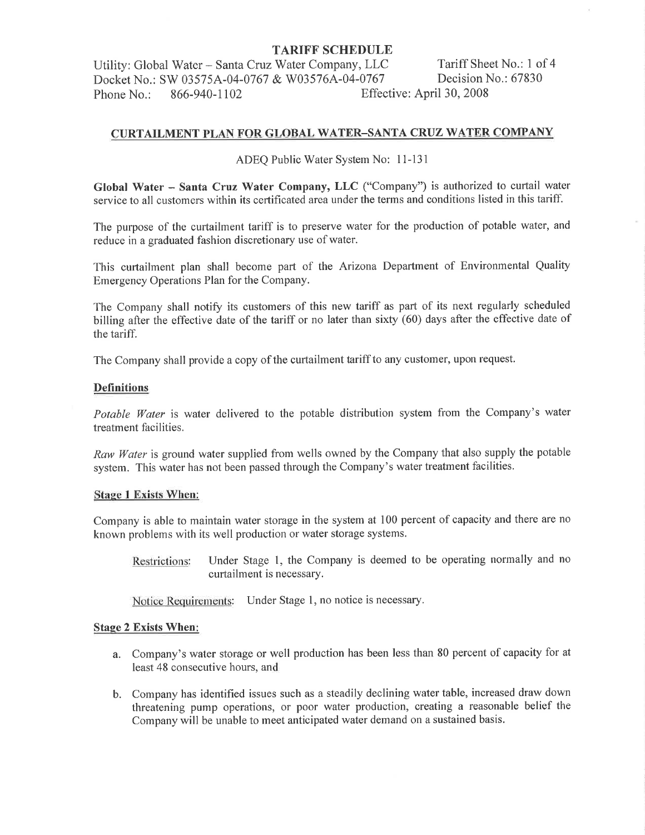Utility: Global Water - Santa Cruz Water Company, LLC Tariff Sheet No.: 1 of 4<br>Docket No.: SW 03575A-04-0767 & W03576A-04-0767 Decision No.: 67830 Docket No.: SW 03575A-04-0767 & W03576A-04-0767<br>Phone No.: 866-940-1102 Effec Phone No.: 866-940-1102 Effective: April 30, 2008

## CURTAILMENT PLAN FOR GLOBAL WATER-SANTA CRUZ WATER COMPANY

ADEQ Public Water System No: 11-l3l

Global Water - Santa Cruz Water Company, LLC ("Company") is authorized to curtail water service to all customers within its certificated area under the terms and conditions listed in this tariff.

The purpose of the curtailment tariff is to preserve water for the production of potable water, and reduce in a graduated fashion discretionary use of water.

This curtailment plan shall become part of the Arizona Department of Environmental Quality Emergency Operations Plan for the Company.

The Company shall notify its customers of this new tariff as part of its next regularly scheduled billing after the effective date of the tariff or no later than sixty (60) days after the effective date of the tariff.

The Company shall provide a copy of the curtailment tariff to any customer, upon request.

#### **Definitions**

Potable Water is water delivered to the potable distribution system from the Company's water treatment facilities.

Raw Water is ground water supplied from wells owned by the Company that also supply the potable system. This water has not been passed through the Company's water treatment facilities.

#### **Stage 1 Exists When:**

Company is able to maintain water storage in the system at 100 percent of capacity and there are no known problems with its well production or water storage systems.

Restrictions: Under Stage 1, the Company is deemed to be operating normally and no curtailment is necessary.

Notice Requirements: Under Stage l, no notice is necessary.

#### **Stage 2 Exists When:**

- a. Company's water storage or well production has been less than 80 percent of capacity for at least 48 consecutive hours, and
- b. Company has identified issues such as a steadily declining water table, increased draw down threatening pump operations, or poor water production, creating a reasonable belief the Company will be unable to meet anticipated water demand on a sustained basis.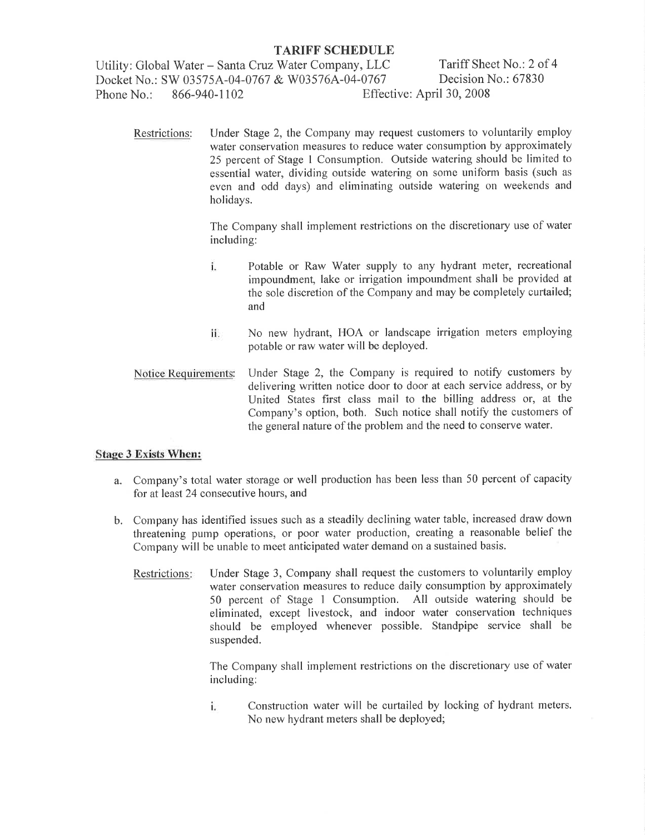Utility: Global Water – Santa Cruz Water Company, LLC<br>Docket No : SW 03575A-04-0767 & W03576A-04-0767 Decision No.: 67830 Docket No.: SW 03575A-04-0767 & W03576A-04-0767<br>Phone No.: 866-940-1102 Effec Phone No.: 866-940-1102 Effective: April 30, <sup>2008</sup>

Restrictions: Under Stage 2, the Company may request customers to voluntarily employ water conservation measures to reduce water consumption by approximately 25 percent of Stage I Consumption. Outside watering should be limited to essential water, dividing outside watering on some uniform basis (such as even and odd days) and eliminating outside watering on weekends and holidays.

> The Company shall implement restrictions on the discretionary use of water including:

- i. Potable or Raw Water supply to any hydrant meter, recreational impoundment, lake or irrigation impoundment shall be provided at the sole discretion of the Company and may be completely curtailed; and
- No new hydrant, HOA or landscape irrigation meters employing ii. potable or raw water will be deployed.
- Notice Requirements: Under Stage 2, the Company is required to notify customers by delivering written notice door to door at each service address, or by United States first class mail to the billing address or, at the Company's option, both. Such notice shall notify the customers of the general nature of the problem and the need to conserve water.

#### Stage 3 Exists When:

- a. Company's total water storage or well production has been less than 50 percent of capacity for at least 24 consecutive hours, and
- b. Company has identified issues such as a steadily declining water table, increased draw down threatening pump operations, or poor water production, creating a reasonable belief the Company will be unable to meet anticipated water demand on a sustained basis.
	- Restrictions: Under Stage 3, Company shall request the customers to voluntarily employ water conservation measures to reduce daily consumption by approximately 50 percent of Stage I Consumption. All outside watering should be eliminated, except livestock, and indoor water conservation techniques should be employed whenever possible. Standpipe service shall be suspended.

The Company shall implement restrictions on the discretionary use of water including:

Construction water will be curtailed by locking of hydrant meters. i. No new hydrant meters shall be deployed;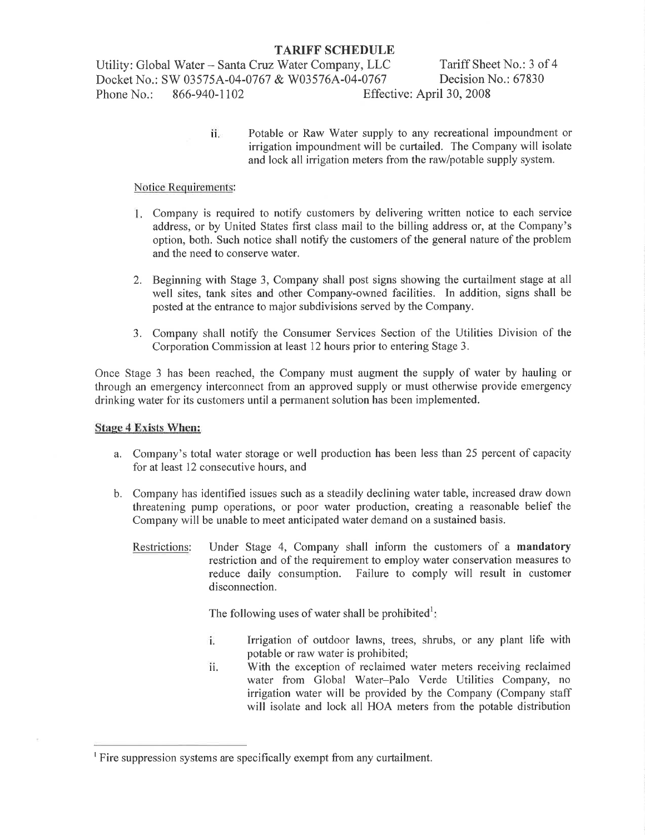Utility: Global Water - Santa Cruz Water Company, LLC Tariff Sheet No.: 3 of 4<br>Docket No.: SW 03575A-04-0767 & W03576A-04-0767 Decision No.: 67830 Docket No.: SW 03575A-04-0767 & W03576A-04-0767<br>Phone No.: 866-940-1102 Effec Effective: April 30, 2008

> Potable or Raw Water supply to any recreational impoundment or irrigation impoundment will be curtailed. The Company will isolate and lock all irrigation meters from the raw/potable supply system. li.

### Notice Requirements:

- 1. Company is required to notify customers by delivering written notice to each service address, or by United States first class mail to the billing address or, at the Company's option, both. Such notice shall notify the customers of the general nature of the problem and the need to conserve water.
- 2. Beginning with Stage 3, Company shall post signs showing the curtailment stage at all well sites, tank sites and other Company-owned facilities. In addition, signs shall be posted at the entrance to major subdivisions served by the Company.
- 3. Company shall notify the Consumer Services Section of the Utilities Division of the Corporation Commission at least 12 hours prior to entering Stage 3,

Once Stage 3 has been reached, the Company must augment the supply of water by hauling or through an emergency interconnect from an approved supply or must otherwise provide emergency drinking water for its customers until a permanent solution has been implemented.

#### Stage 4 Exists When:

- a. Company's total water storage or well production has been less than 25 percent of capacity for at least 12 consecutive hours, and
- b. Company has identified issues such as a steadily declining water table, increased draw down threatening pump operations, or poor water production, creating a reasonable belief the Company will be unable to meet anticipated water demand on a sustained basis.
	- Restrictions: Under Stage 4, Company shall inform the customers of a mandatory restriction and of the requirement to employ water conservation measures to reduce daily consumption. Failure to comply will result in customer disconnection.

The following uses of water shall be prohibited<sup>1</sup>

- i. Irrigation of outdoor lawns, trees, shrubs, or any plant life with potable or raw water is prohibited;
- ll, With the exception of reclaimed water meters receiving reclaimed water from Global Water-Palo Verde Utilities Company, no irrigation water will be provided by the Company (Company staff will isolate and lock all HOA meters from the potable distribution

<sup>&#</sup>x27;Fire suppression systems are specifically exempt from any curtailment.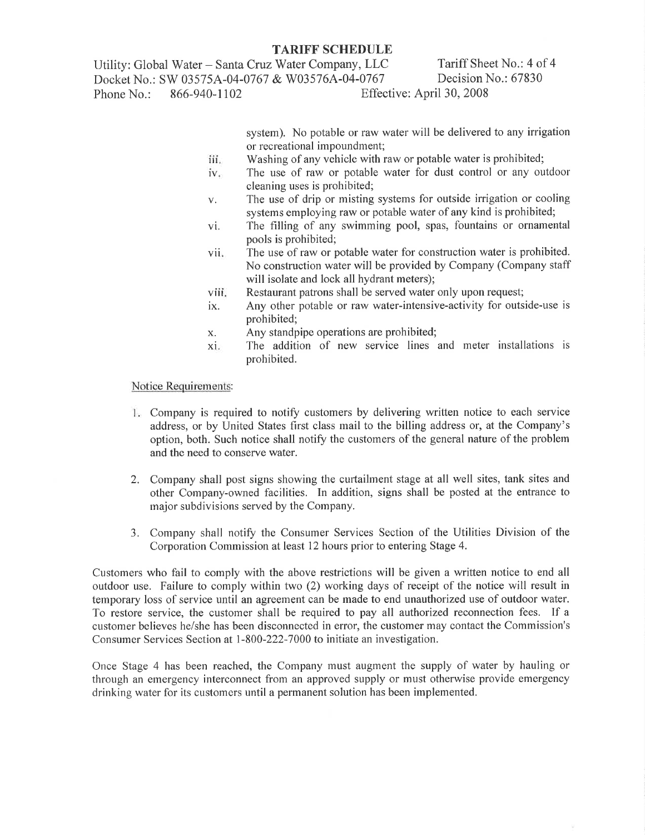Utility: Global Water – Santa Cruz Water Company, LLC Tariff Sheet No.: 4 of 4<br>Docket No.: SW 03575A-04-0767 & W03576A-04-0767 Decision No.: 67830 Docket No.: SW 03575A-04-0767 & W03576A-04-0767 Phone No.: 866-940-1102 Effective: April 30, 2008

> system). No potable or raw water will be delivered to any irrigation or recreational impoundment;

- iii. Washing of any vehicle with raw or potable water is prohibited;
- iv. The use of raw or potable water for dust control or any outdoor cleaning uses is prohibited;
- The use of drip or misting systems for outside irrigation or cooling  $V_{+}$ systems employing raw or potable water of any kind is prohibited;
- vi, The filling of any swimming pool, spas, fountains or ornamental pools is prohibited;
- vii The use of raw or potable water for construction water is prohibited. No construction water will be provided by Company (Company staff will isolate and lock all hydrant meters);
- viii. Restaurant patrons shall be served water only upon request;
- ix. Any other potable or raw water-intensive-activity for outside-use is prohibited;
- Any standpipe operations are prohibited; X.
- The addition of new service lines and meter installations is prohibited. xi.

#### Notice Requirements:

- 1. Company is required to notify customers by delivering written notice to each service address, or by United States first class mail to the billing address or, at the Company's option, both. Such notice shall notify the customers of the general nature of the problem and the need to conserve water.
- 2. Company shall post signs showing the curtailment stage at all well sites, tank sites and other Company-owned facilities. In addition, signs shall be posted at the entrance to major subdivisions served by the Company.
- 3. Company shall notiff the Consumer Services Section of the Utilities Division of the Corporation Commission at least 12 hours prior to entering Stage 4.

Customers who fail to comply with the above restrictions will be given a written notice to end all outdoor use. Failure to comply within two (2) working days of receipt of the notice will result in temporary loss of service until an agreement can be made to end unauthorized use of outdoor water. To restore service, the customer shall be required to pay all authorized reconnection fees. If <sup>a</sup> customer believes he/she has been disconnected in error, the customer may contact the Commission's Consumer Services Section at l-800-222-7000 to initiate an investigation.

Once Stage 4 has been reached, the Company must augment the supply of water by hauling or through an emergency interconnect from an approved supply or must otherwise provide emergency drinking water for its customers until a permanent solution has been implemented.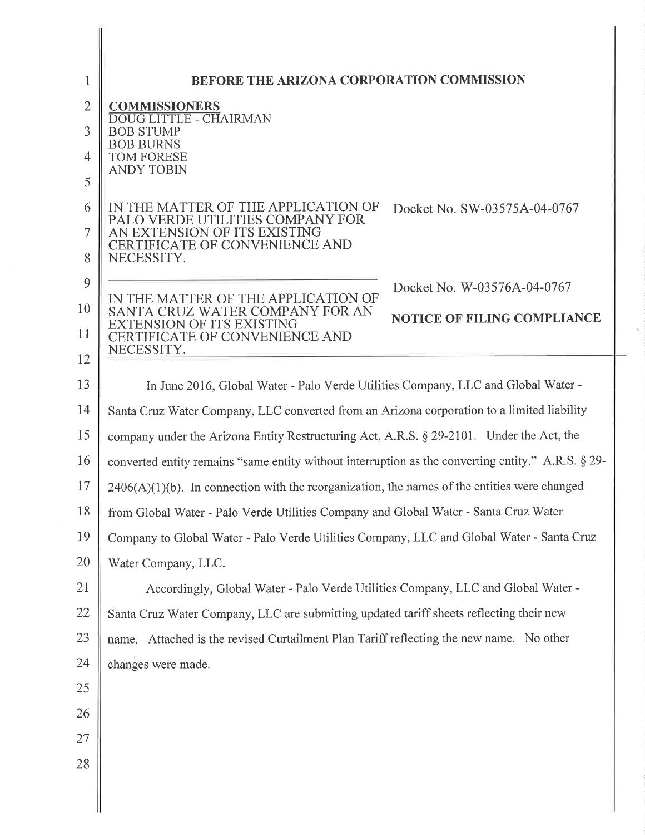| 1            | BEFORE THE ARIZONA CORPORATION COMMISSION                                                                    |
|--------------|--------------------------------------------------------------------------------------------------------------|
| $\mathbf{2}$ | <b>COMMISSIONERS</b>                                                                                         |
| 3            | <b>DOUG LITTLE - CHAIRMAN</b><br><b>BOB STUMP</b>                                                            |
| 4            | <b>BOB BURNS</b><br>TOM FORESE                                                                               |
| 5            | <b>ANDY TOBIN</b>                                                                                            |
| 6            | IN THE MATTER OF THE APPLICATION OF<br>Docket No. SW-03575A-04-0767                                          |
| 7            | PALO VERDE UTILITIES COMPANY FOR<br>AN EXTENSION OF ITS EXISTING                                             |
| 8            | <b>CERTIFICATE OF CONVENIENCE AND</b><br>NECESSITY.                                                          |
| 9            | Docket No. W-03576A-04-0767                                                                                  |
| 10           | IN THE MATTER OF THE APPLICATION OF<br>SANTA CRUZ WATER COMPANY FOR AN<br><b>NOTICE OF FILING COMPLIANCE</b> |
| 11           | EXTENSION OF ITS EXISTING<br>CERTIFICATE OF CONVENIENCE AND                                                  |
| 12           | NECESSITY.                                                                                                   |
| 13           | In June 2016, Global Water - Palo Verde Utilities Company, LLC and Global Water -                            |
| 14           | Santa Cruz Water Company, LLC converted from an Arizona corporation to a limited liability                   |
| 15           | company under the Arizona Entity Restructuring Act, A.R.S. § 29-2101. Under the Act, the                     |
| 16           | converted entity remains "same entity without interruption as the converting entity." A.R.S. § 29-           |
| 17           | $2406(A)(1)(b)$ . In connection with the reorganization, the names of the entities were changed              |
| 18           | from Global Water - Palo Verde Utilities Company and Global Water - Santa Cruz Water                         |
| 19           | Company to Global Water - Palo Verde Utilities Company, LLC and Global Water - Santa Cruz                    |
| 20           | Water Company, LLC.                                                                                          |
| 21           | Accordingly, Global Water - Palo Verde Utilities Company, LLC and Global Water -                             |
| 22           | Santa Cruz Water Company, LLC are submitting updated tariff sheets reflecting their new                      |
| 23           | name. Attached is the revised Curtailment Plan Tariff reflecting the new name. No other                      |
| 24           | changes were made.                                                                                           |
| 25           |                                                                                                              |
| 26           |                                                                                                              |
| 27           |                                                                                                              |
| 28           |                                                                                                              |
|              |                                                                                                              |
|              |                                                                                                              |